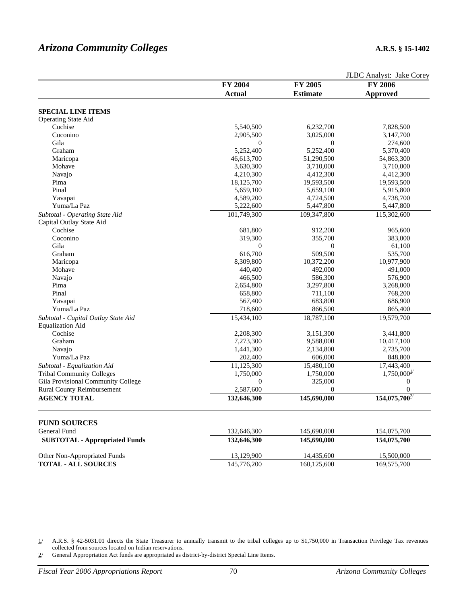|                                      |                  |                 | JLBC Analyst: Jake Corey |  |
|--------------------------------------|------------------|-----------------|--------------------------|--|
|                                      | FY 2004          | FY 2005         | <b>FY 2006</b>           |  |
|                                      | Actual           | <b>Estimate</b> | <b>Approved</b>          |  |
|                                      |                  |                 |                          |  |
| <b>SPECIAL LINE ITEMS</b>            |                  |                 |                          |  |
| <b>Operating State Aid</b>           |                  |                 |                          |  |
| Cochise                              | 5,540,500        | 6,232,700       | 7,828,500                |  |
| Coconino                             | 2,905,500        | 3,025,000       | 3,147,700                |  |
| Gila                                 | $\mathbf{0}$     | $\bf{0}$        | 274,600                  |  |
| Graham                               | 5,252,400        | 5,252,400       | 5,370,400                |  |
| Maricopa                             | 46,613,700       | 51,290,500      | 54,863,300               |  |
| Mohave                               | 3,630,300        | 3,710,000       | 3,710,000                |  |
| Navajo                               | 4,210,300        | 4,412,300       | 4,412,300                |  |
| Pima                                 | 18,125,700       | 19,593,500      | 19,593,500               |  |
| Pinal                                | 5,659,100        | 5,659,100       | 5,915,800                |  |
| Yavapai                              | 4,589,200        | 4,724,500       | 4,738,700                |  |
| Yuma/La Paz                          | 5,222,600        | 5,447,800       | 5,447,800                |  |
| Subtotal - Operating State Aid       | 101,749,300      | 109,347,800     | 115,302,600              |  |
| Capital Outlay State Aid             |                  |                 |                          |  |
| Cochise                              | 681,800          | 912,200         | 965,600                  |  |
| Coconino                             | 319,300          | 355,700         | 383,000                  |  |
| Gila                                 | $\boldsymbol{0}$ | 0               | 61,100                   |  |
| Graham                               | 616,700          | 509,500         | 535,700                  |  |
| Maricopa                             | 8,309,800        | 10,372,200      | 10,977,900               |  |
| Mohave                               | 440,400          | 492,000         | 491,000                  |  |
| Navajo                               | 466,500          | 586,300         | 576,900                  |  |
| Pima                                 |                  |                 |                          |  |
| Pinal                                | 2,654,800        | 3,297,800       | 3,268,000                |  |
|                                      | 658,800          | 711,100         | 768,200                  |  |
| Yavapai                              | 567,400          | 683,800         | 686,900                  |  |
| Yuma/La Paz                          | 718,600          | 866,500         | 865,400                  |  |
| Subtotal - Capital Outlay State Aid  | 15,434,100       | 18,787,100      | 19,579,700               |  |
| <b>Equalization Aid</b>              |                  |                 |                          |  |
| Cochise                              | 2,208,300        | 3,151,300       | 3,441,800                |  |
| Graham                               | 7,273,300        | 9,588,000       | 10,417,100               |  |
| Navajo                               | 1,441,300        | 2,134,800       | 2,735,700                |  |
| Yuma/La Paz                          | 202,400          | 606,000         | 848,800                  |  |
| Subtotal - Equalization Aid          | 11,125,300       | 15,480,100      | 17,443,400               |  |
| <b>Tribal Community Colleges</b>     | 1,750,000        | 1,750,000       | $1,750,000^{1/}$         |  |
| Gila Provisional Community College   | $\mathbf{0}$     | 325,000         | $\mathbf{0}$             |  |
| <b>Rural County Reimbursement</b>    | 2,587,600        | $\mathbf{0}$    | $\Omega$                 |  |
| <b>AGENCY TOTAL</b>                  | 132,646,300      | 145,690,000     | $154,075,700^{2}$        |  |
| <b>FUND SOURCES</b>                  |                  |                 |                          |  |
|                                      |                  |                 |                          |  |
| General Fund                         | 132,646,300      | 145,690,000     | 154,075,700              |  |
| <b>SUBTOTAL - Appropriated Funds</b> | 132,646,300      | 145,690,000     | 154,075,700              |  |
| Other Non-Appropriated Funds         | 13,129,900       | 14,435,600      | 15,500,000               |  |
| <b>TOTAL - ALL SOURCES</b>           | 145,776,200      | 160,125,600     | 169,575,700              |  |

1/ A.R.S. § 42-5031.01 directs the State Treasurer to annually transmit to the tribal colleges up to \$1,750,000 in Transaction Privilege Tax revenues collected from sources located on Indian reservations.

2/ General Appropriation Act funds are appropriated as district-by-district Special Line Items.

 $\overline{\phantom{a}}$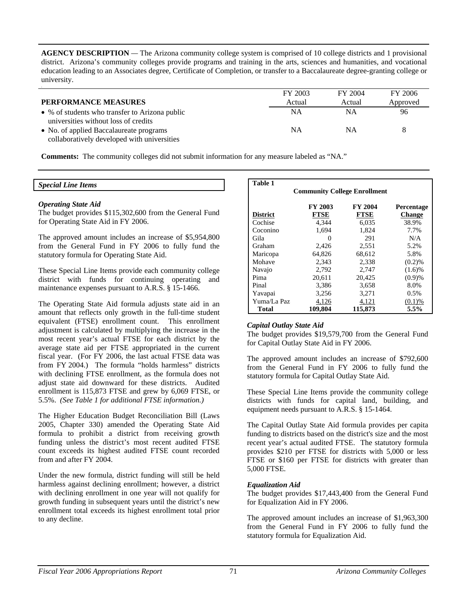**AGENCY DESCRIPTION** *—* The Arizona community college system is comprised of 10 college districts and 1 provisional district. Arizona's community colleges provide programs and training in the arts, sciences and humanities, and vocational education leading to an Associates degree, Certificate of Completion, or transfer to a Baccalaureate degree-granting college or university.

|                                                                                        | FY 2003   | FY 2004 | FY 2006  |
|----------------------------------------------------------------------------------------|-----------|---------|----------|
| PERFORMANCE MEASURES                                                                   | Actual    | Actual  | Approved |
| • % of students who transfer to Arizona public<br>universities without loss of credits | <b>NA</b> | NΑ      | 96       |
| • No. of applied Baccalaureate programs                                                | ΝA        | NΑ      | 8        |
| collaboratively developed with universities                                            |           |         |          |

**Comments:** The community colleges did not submit information for any measure labeled as "NA."

### *Special Line Items*

### *Operating State Aid*

The budget provides \$115,302,600 from the General Fund for Operating State Aid in FY 2006.

The approved amount includes an increase of \$5,954,800 from the General Fund in FY 2006 to fully fund the statutory formula for Operating State Aid.

These Special Line Items provide each community college district with funds for continuing operating and maintenance expenses pursuant to A.R.S. § 15-1466.

The Operating State Aid formula adjusts state aid in an amount that reflects only growth in the full-time student equivalent (FTSE) enrollment count. This enrollment adjustment is calculated by multiplying the increase in the most recent year's actual FTSE for each district by the average state aid per FTSE appropriated in the current fiscal year. (For FY 2006, the last actual FTSE data was from FY 2004.) The formula "holds harmless" districts with declining FTSE enrollment, as the formula does not adjust state aid downward for these districts. Audited enrollment is 115,873 FTSE and grew by 6,069 FTSE, or 5.5%. *(See Table 1 for additional FTSE information.)* 

The Higher Education Budget Reconciliation Bill (Laws 2005, Chapter 330) amended the Operating State Aid formula to prohibit a district from receiving growth funding unless the district's most recent audited FTSE count exceeds its highest audited FTSE count recorded from and after FY 2004.

Under the new formula, district funding will still be held harmless against declining enrollment; however, a district with declining enrollment in one year will not qualify for growth funding in subsequent years until the district's new enrollment total exceeds its highest enrollment total prior to any decline.

| <b>Table 1</b>  |                                     |             |               |
|-----------------|-------------------------------------|-------------|---------------|
|                 | <b>Community College Enrollment</b> |             |               |
|                 | FY 2003                             | FY 2004     | Percentage    |
| <b>District</b> | <b>FTSE</b>                         | <b>FTSE</b> | <b>Change</b> |
| Cochise         | 4,344                               | 6,035       | 38.9%         |
| Coconino        | 1,694                               | 1,824       | 7.7%          |
| Gila            | $\mathbf{\Omega}$                   | 291         | N/A           |
| Graham          | 2,426                               | 2,551       | 5.2%          |
| Maricopa        | 64.826                              | 68.612      | 5.8%          |
| Mohave          | 2,343                               | 2,338       | (0.2)%        |
| Navajo          | 2,792                               | 2,747       | (1.6)%        |
| Pima            | 20,611                              | 20,425      | (0.9)%        |
| Pinal           | 3,386                               | 3,658       | 8.0%          |
| Yavapai         | 3,256                               | 3,271       | 0.5%          |
| Yuma/La Paz     | 4,126                               | 4,121       | (0.1)%        |
| Total           | 109,804                             | 115,873     | 5.5%          |

## *Capital Outlay State Aid*

The budget provides \$19,579,700 from the General Fund for Capital Outlay State Aid in FY 2006.

The approved amount includes an increase of \$792,600 from the General Fund in FY 2006 to fully fund the statutory formula for Capital Outlay State Aid.

These Special Line Items provide the community college districts with funds for capital land, building, and equipment needs pursuant to A.R.S. § 15-1464.

The Capital Outlay State Aid formula provides per capita funding to districts based on the district's size and the most recent year's actual audited FTSE. The statutory formula provides \$210 per FTSE for districts with 5,000 or less FTSE or \$160 per FTSE for districts with greater than 5,000 FTSE.

### *Equalization Aid*

The budget provides \$17,443,400 from the General Fund for Equalization Aid in FY 2006.

The approved amount includes an increase of \$1,963,300 from the General Fund in FY 2006 to fully fund the statutory formula for Equalization Aid.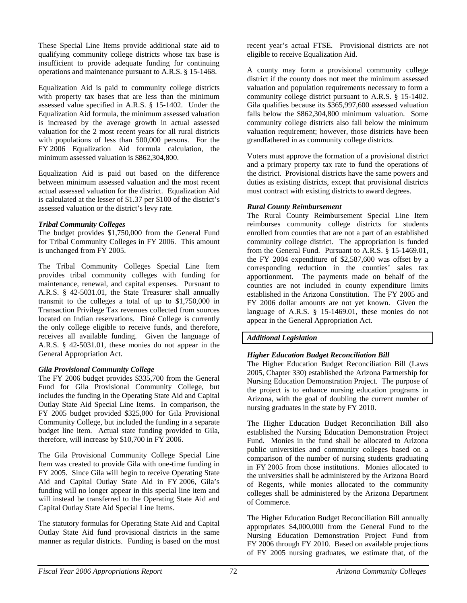These Special Line Items provide additional state aid to qualifying community college districts whose tax base is insufficient to provide adequate funding for continuing operations and maintenance pursuant to A.R.S. § 15-1468.

Equalization Aid is paid to community college districts with property tax bases that are less than the minimum assessed value specified in A.R.S. § 15-1402. Under the Equalization Aid formula, the minimum assessed valuation is increased by the average growth in actual assessed valuation for the 2 most recent years for all rural districts with populations of less than 500,000 persons. For the FY 2006 Equalization Aid formula calculation, the minimum assessed valuation is \$862,304,800.

Equalization Aid is paid out based on the difference between minimum assessed valuation and the most recent actual assessed valuation for the district. Equalization Aid is calculated at the lesser of \$1.37 per \$100 of the district's assessed valuation or the district's levy rate.

# *Tribal Community Colleges*

The budget provides \$1,750,000 from the General Fund for Tribal Community Colleges in FY 2006. This amount is unchanged from FY 2005.

The Tribal Community Colleges Special Line Item provides tribal community colleges with funding for maintenance, renewal, and capital expenses. Pursuant to A.R.S. § 42-5031.01, the State Treasurer shall annually transmit to the colleges a total of up to \$1,750,000 in Transaction Privilege Tax revenues collected from sources located on Indian reservations. Diné College is currently the only college eligible to receive funds, and therefore, receives all available funding. Given the language of A.R.S. § 42-5031.01, these monies do not appear in the General Appropriation Act.

# *Gila Provisional Community College*

The FY 2006 budget provides \$335,700 from the General Fund for Gila Provisional Community College, but includes the funding in the Operating State Aid and Capital Outlay State Aid Special Line Items. In comparison, the FY 2005 budget provided \$325,000 for Gila Provisional Community College, but included the funding in a separate budget line item. Actual state funding provided to Gila, therefore, will increase by \$10,700 in FY 2006.

The Gila Provisional Community College Special Line Item was created to provide Gila with one-time funding in FY 2005. Since Gila will begin to receive Operating State Aid and Capital Outlay State Aid in FY 2006, Gila's funding will no longer appear in this special line item and will instead be transferred to the Operating State Aid and Capital Outlay State Aid Special Line Items.

The statutory formulas for Operating State Aid and Capital Outlay State Aid fund provisional districts in the same manner as regular districts. Funding is based on the most recent year's actual FTSE. Provisional districts are not eligible to receive Equalization Aid.

A county may form a provisional community college district if the county does not meet the minimum assessed valuation and population requirements necessary to form a community college district pursuant to A.R.S. § 15-1402. Gila qualifies because its \$365,997,600 assessed valuation falls below the \$862,304,800 minimum valuation. Some community college districts also fall below the minimum valuation requirement; however, those districts have been grandfathered in as community college districts.

Voters must approve the formation of a provisional district and a primary property tax rate to fund the operations of the district. Provisional districts have the same powers and duties as existing districts, except that provisional districts must contract with existing districts to award degrees.

## *Rural County Reimbursement*

The Rural County Reimbursement Special Line Item reimburses community college districts for students enrolled from counties that are not a part of an established community college district. The appropriation is funded from the General Fund. Pursuant to A.R.S. § 15-1469.01, the FY 2004 expenditure of \$2,587,600 was offset by a corresponding reduction in the counties' sales tax apportionment. The payments made on behalf of the counties are not included in county expenditure limits established in the Arizona Constitution. The FY 2005 and FY 2006 dollar amounts are not yet known. Given the language of A.R.S. § 15-1469.01, these monies do not appear in the General Appropriation Act.

# *Additional Legislation*

# *Higher Education Budget Reconciliation Bill*

The Higher Education Budget Reconciliation Bill (Laws 2005, Chapter 330) established the Arizona Partnership for Nursing Education Demonstration Project. The purpose of the project is to enhance nursing education programs in Arizona, with the goal of doubling the current number of nursing graduates in the state by FY 2010.

The Higher Education Budget Reconciliation Bill also established the Nursing Education Demonstration Project Fund. Monies in the fund shall be allocated to Arizona public universities and community colleges based on a comparison of the number of nursing students graduating in FY 2005 from those institutions. Monies allocated to the universities shall be administered by the Arizona Board of Regents, while monies allocated to the community colleges shall be administered by the Arizona Department of Commerce.

The Higher Education Budget Reconciliation Bill annually appropriates \$4,000,000 from the General Fund to the Nursing Education Demonstration Project Fund from FY 2006 through FY 2010. Based on available projections of FY 2005 nursing graduates, we estimate that, of the